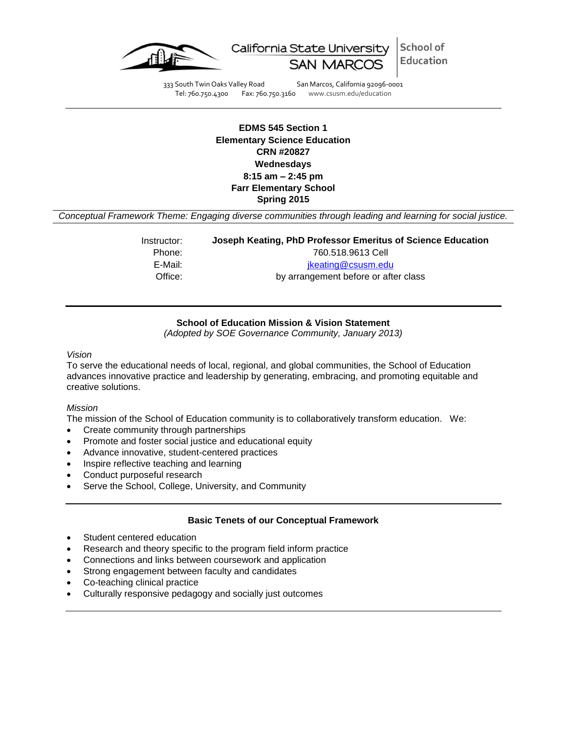

California State University School of Education

333 South Twin Oaks Valley Road San Marcos, California 92096-0001<br>Tel: 760.750.4300 Fax: 760.750.3160 www.csusm.edu/education www.csusm.edu/education

**EDMS 545 Section 1**

**Elementary Science Education CRN #20827 Wednesdays 8:15 am – 2:45 pm Farr Elementary School Spring 2015**

*Conceptual Framework Theme: Engaging diverse communities through leading and learning for social justice.*

| Instructor: | Joseph Keating, PhD Professor Emeritus of Science Education |
|-------------|-------------------------------------------------------------|
| Phone:      | 760.518.9613 Cell                                           |
| E-Mail:     | jkeating@csusm.edu                                          |
| Office:     | by arrangement before or after class                        |

### **School of Education Mission & Vision Statement**

*(Adopted by SOE Governance Community, January 2013)*

*Vision*

To serve the educational needs of local, regional, and global communities, the School of Education advances innovative practice and leadership by generating, embracing, and promoting equitable and creative solutions.

#### *Mission*

The mission of the School of Education community is to collaboratively transform education. We:

- Create community through partnerships
- Promote and foster social justice and educational equity
- Advance innovative, student-centered practices
- Inspire reflective teaching and learning
- Conduct purposeful research
- Serve the School, College, University, and Community

#### **Basic Tenets of our Conceptual Framework**

- Student centered education
- Research and theory specific to the program field inform practice
- Connections and links between coursework and application
- Strong engagement between faculty and candidates
- Co-teaching clinical practice
- Culturally responsive pedagogy and socially just outcomes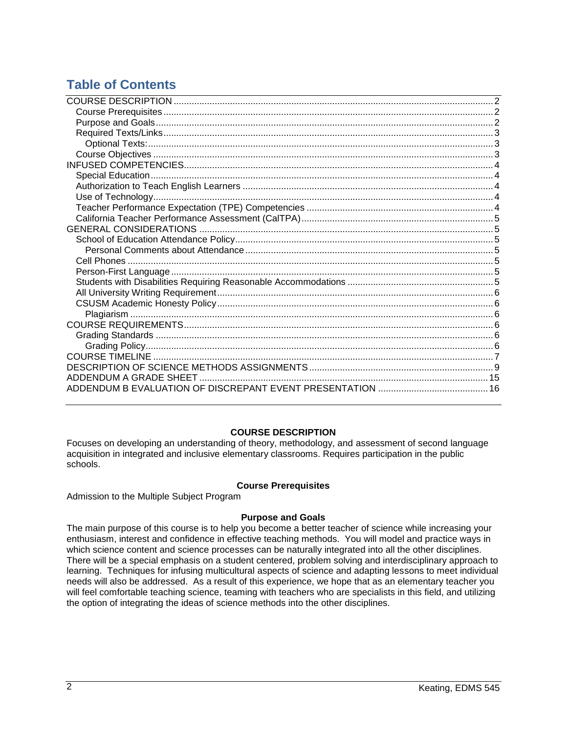# **Table of Contents**

# **COURSE DESCRIPTION**

<span id="page-1-0"></span>Focuses on developing an understanding of theory, methodology, and assessment of second language acquisition in integrated and inclusive elementary classrooms. Requires participation in the public schools.

# **Course Prerequisites**

<span id="page-1-1"></span>Admission to the Multiple Subject Program

# **Purpose and Goals**

<span id="page-1-3"></span><span id="page-1-2"></span>The main purpose of this course is to help you become a better teacher of science while increasing your enthusiasm, interest and confidence in effective teaching methods. You will model and practice ways in which science content and science processes can be naturally integrated into all the other disciplines. There will be a special emphasis on a student centered, problem solving and interdisciplinary approach to learning. Techniques for infusing multicultural aspects of science and adapting lessons to meet individual needs will also be addressed. As a result of this experience, we hope that as an elementary teacher you will feel comfortable teaching science, teaming with teachers who are specialists in this field, and utilizing the option of integrating the ideas of science methods into the other disciplines.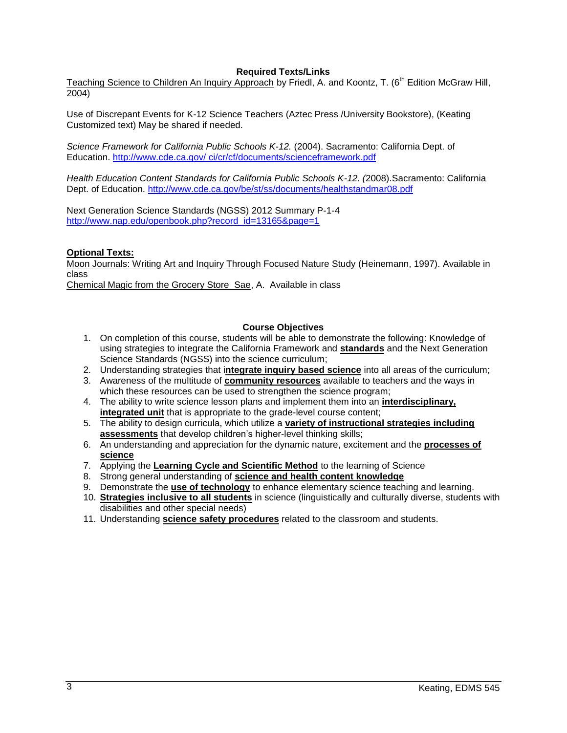### **Required Texts/Links**

Teaching Science to Children An Inquiry Approach by Friedl, A. and Koontz, T. (6<sup>th</sup> Edition McGraw Hill, 2004)

Use of Discrepant Events for K-12 Science Teachers (Aztec Press /University Bookstore), (Keating Customized text) May be shared if needed.

*Science Framework for California Public Schools K-12.* (2004). Sacramento: California Dept. of Education. http://www.cde.ca.gov/ [ci/cr/cf/documents/scienceframework.pdf](http://www.cde.ca.gov/ci/cr/cf/documents/scienceframework.pdf)

*Health Education Content Standards for California Public Schools K-12. (*2008).Sacramento: California Dept. of Education.<http://www.cde.ca.gov/be/st/ss/documents/healthstandmar08.pdf>

Next Generation Science Standards (NGSS) 2012 Summary P-1-4 [http://www.nap.edu/openbook.php?record\\_id=13165&page=1](http://www.nap.edu/openbook.php?record_id=13165&page=1)

### <span id="page-2-0"></span>**Optional Texts:**

Moon Journals: Writing Art and Inquiry Through Focused Nature Study (Heinemann, 1997). Available in class

Chemical Magic from the Grocery Store Sae, A. Available in class

### **Course Objectives**

- <span id="page-2-1"></span>1. On completion of this course, students will be able to demonstrate the following: Knowledge of using strategies to integrate the California Framework and **standards** and the Next Generation Science Standards (NGSS) into the science curriculum;
- 2. Understanding strategies that i**ntegrate inquiry based science** into all areas of the curriculum;
- 3. Awareness of the multitude of **community resources** available to teachers and the ways in which these resources can be used to strengthen the science program;
- 4. The ability to write science lesson plans and implement them into an **interdisciplinary, integrated unit** that is appropriate to the grade-level course content;
- 5. The ability to design curricula, which utilize a **variety of instructional strategies including assessments** that develop children's higher-level thinking skills;
- 6. An understanding and appreciation for the dynamic nature, excitement and the **processes of science**
- 7. Applying the **Learning Cycle and Scientific Method** to the learning of Science
- 8. Strong general understanding of **science and health content knowledge**
- 9. Demonstrate the **use of technology** to enhance elementary science teaching and learning.
- 10. **Strategies inclusive to all students** in science (linguistically and culturally diverse, students with disabilities and other special needs)
- <span id="page-2-2"></span>11. Understanding **science safety procedures** related to the classroom and students.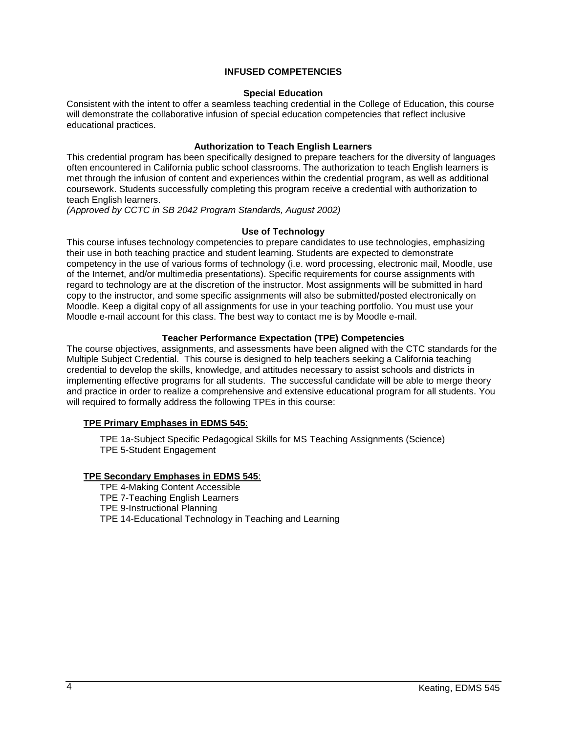## **INFUSED COMPETENCIES**

#### **Special Education**

<span id="page-3-0"></span>Consistent with the intent to offer a seamless teaching credential in the College of Education, this course will demonstrate the collaborative infusion of special education competencies that reflect inclusive educational practices.

#### **Authorization to Teach English Learners**

<span id="page-3-1"></span>This credential program has been specifically designed to prepare teachers for the diversity of languages often encountered in California public school classrooms. The authorization to teach English learners is met through the infusion of content and experiences within the credential program, as well as additional coursework. Students successfully completing this program receive a credential with authorization to teach English learners.

*(Approved by CCTC in SB 2042 Program Standards, August 2002)*

### **Use of Technology**

<span id="page-3-2"></span>This course infuses technology competencies to prepare candidates to use technologies, emphasizing their use in both teaching practice and student learning. Students are expected to demonstrate competency in the use of various forms of technology (i.e. word processing, electronic mail, Moodle, use of the Internet, and/or multimedia presentations). Specific requirements for course assignments with regard to technology are at the discretion of the instructor. Most assignments will be submitted in hard copy to the instructor, and some specific assignments will also be submitted/posted electronically on Moodle. Keep a digital copy of all assignments for use in your teaching portfolio. You must use your Moodle e-mail account for this class. The best way to contact me is by Moodle e-mail.

# **Teacher Performance Expectation (TPE) Competencies**

<span id="page-3-3"></span>The course objectives, assignments, and assessments have been aligned with the CTC standards for the Multiple Subject Credential. This course is designed to help teachers seeking a California teaching credential to develop the skills, knowledge, and attitudes necessary to assist schools and districts in implementing effective programs for all students. The successful candidate will be able to merge theory and practice in order to realize a comprehensive and extensive educational program for all students. You will required to formally address the following TPEs in this course:

# **TPE Primary Emphases in EDMS 545**:

TPE 1a-Subject Specific Pedagogical Skills for MS Teaching Assignments (Science) TPE 5-Student Engagement

# **TPE Secondary Emphases in EDMS 545**:

TPE 4-Making Content Accessible TPE 7-Teaching English Learners TPE 9-Instructional Planning TPE 14-Educational Technology in Teaching and Learning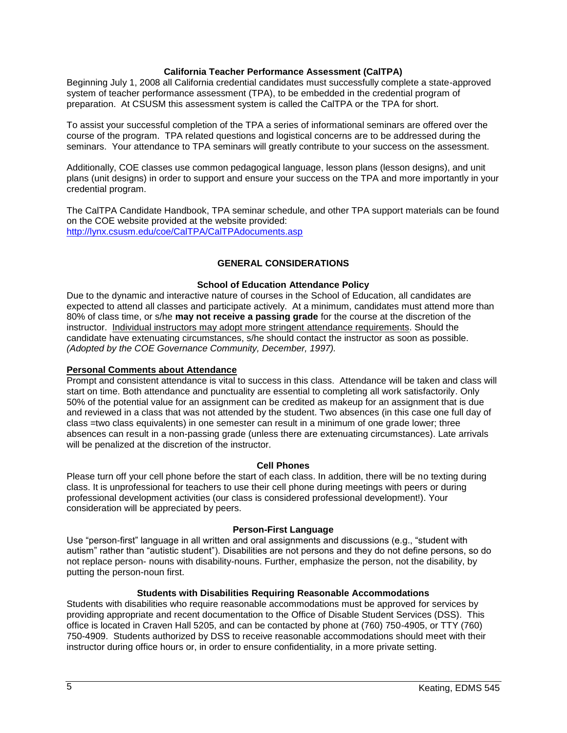## **California Teacher Performance Assessment (CalTPA)**

<span id="page-4-0"></span>Beginning July 1, 2008 all California credential candidates must successfully complete a state-approved system of teacher performance assessment (TPA), to be embedded in the credential program of preparation. At CSUSM this assessment system is called the CalTPA or the TPA for short.

To assist your successful completion of the TPA a series of informational seminars are offered over the course of the program. TPA related questions and logistical concerns are to be addressed during the seminars. Your attendance to TPA seminars will greatly contribute to your success on the assessment.

Additionally, COE classes use common pedagogical language, lesson plans (lesson designs), and unit plans (unit designs) in order to support and ensure your success on the TPA and more importantly in your credential program.

The CalTPA Candidate Handbook, TPA seminar schedule, and other TPA support materials can be found on the COE website provided at the website provided: <http://lynx.csusm.edu/coe/CalTPA/CalTPAdocuments.asp>

### **GENERAL CONSIDERATIONS**

### **School of Education Attendance Policy**

<span id="page-4-2"></span><span id="page-4-1"></span>Due to the dynamic and interactive nature of courses in the School of Education, all candidates are expected to attend all classes and participate actively. At a minimum, candidates must attend more than 80% of class time, or s/he **may not receive a passing grade** for the course at the discretion of the instructor. Individual instructors may adopt more stringent attendance requirements. Should the candidate have extenuating circumstances, s/he should contact the instructor as soon as possible. *(Adopted by the COE Governance Community, December, 1997).*

#### <span id="page-4-3"></span>**Personal Comments about Attendance**

Prompt and consistent attendance is vital to success in this class. Attendance will be taken and class will start on time. Both attendance and punctuality are essential to completing all work satisfactorily. Only 50% of the potential value for an assignment can be credited as makeup for an assignment that is due and reviewed in a class that was not attended by the student. Two absences (in this case one full day of class =two class equivalents) in one semester can result in a minimum of one grade lower; three absences can result in a non-passing grade (unless there are extenuating circumstances). Late arrivals will be penalized at the discretion of the instructor.

#### **Cell Phones**

<span id="page-4-4"></span>Please turn off your cell phone before the start of each class. In addition, there will be no texting during class. It is unprofessional for teachers to use their cell phone during meetings with peers or during professional development activities (our class is considered professional development!). Your consideration will be appreciated by peers.

#### **Person-First Language**

<span id="page-4-5"></span>Use "person-first" language in all written and oral assignments and discussions (e.g., "student with autism" rather than "autistic student"). Disabilities are not persons and they do not define persons, so do not replace person- nouns with disability-nouns. Further, emphasize the person, not the disability, by putting the person-noun first.

#### **Students with Disabilities Requiring Reasonable Accommodations**

<span id="page-4-6"></span>Students with disabilities who require reasonable accommodations must be approved for services by providing appropriate and recent documentation to the Office of Disable Student Services (DSS). This office is located in Craven Hall 5205, and can be contacted by phone at (760) 750-4905, or TTY (760) 750-4909. Students authorized by DSS to receive reasonable accommodations should meet with their instructor during office hours or, in order to ensure confidentiality, in a more private setting.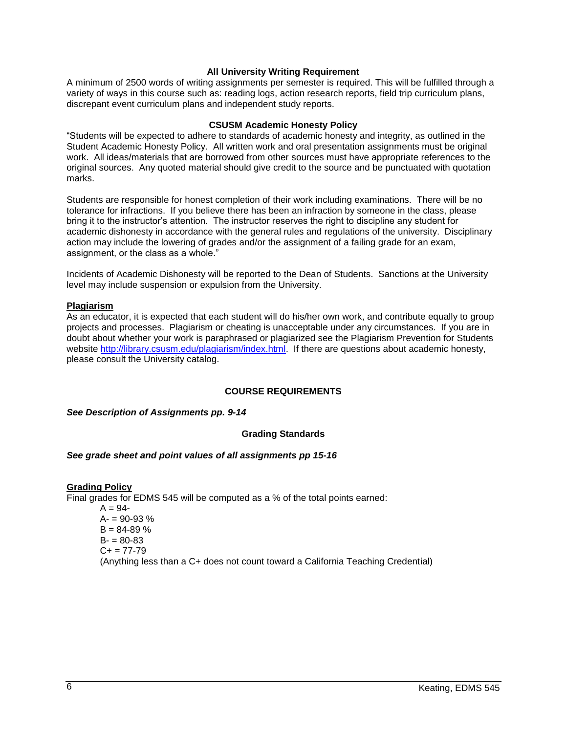#### **All University Writing Requirement**

<span id="page-5-0"></span>A minimum of 2500 words of writing assignments per semester is required. This will be fulfilled through a variety of ways in this course such as: reading logs, action research reports, field trip curriculum plans, discrepant event curriculum plans and independent study reports.

#### **CSUSM Academic Honesty Policy**

<span id="page-5-1"></span>"Students will be expected to adhere to standards of academic honesty and integrity, as outlined in the Student Academic Honesty Policy. All written work and oral presentation assignments must be original work. All ideas/materials that are borrowed from other sources must have appropriate references to the original sources. Any quoted material should give credit to the source and be punctuated with quotation marks.

Students are responsible for honest completion of their work including examinations. There will be no tolerance for infractions. If you believe there has been an infraction by someone in the class, please bring it to the instructor's attention. The instructor reserves the right to discipline any student for academic dishonesty in accordance with the general rules and regulations of the university. Disciplinary action may include the lowering of grades and/or the assignment of a failing grade for an exam, assignment, or the class as a whole."

Incidents of Academic Dishonesty will be reported to the Dean of Students. Sanctions at the University level may include suspension or expulsion from the University.

#### <span id="page-5-2"></span>**Plagiarism**

As an educator, it is expected that each student will do his/her own work, and contribute equally to group projects and processes. Plagiarism or cheating is unacceptable under any circumstances. If you are in doubt about whether your work is paraphrased or plagiarized see the Plagiarism Prevention for Students website [http://library.csusm.edu/plagiarism/index.html.](http://library.csusm.edu/plagiarism/index.html) If there are questions about academic honesty, please consult the University catalog.

#### **COURSE REQUIREMENTS**

<span id="page-5-4"></span><span id="page-5-3"></span>*See Description of Assignments pp. 9-14*

# **Grading Standards**

#### *See grade sheet and point values of all assignments pp 15-16*

#### <span id="page-5-5"></span>**Grading Policy**

Final grades for EDMS 545 will be computed as a % of the total points earned:

 $A = 94 A = 90-93$  %  $B = 84 - 89%$  $B = 80 - 83$  $C_{+}$  = 77-79 (Anything less than a C+ does not count toward a California Teaching Credential)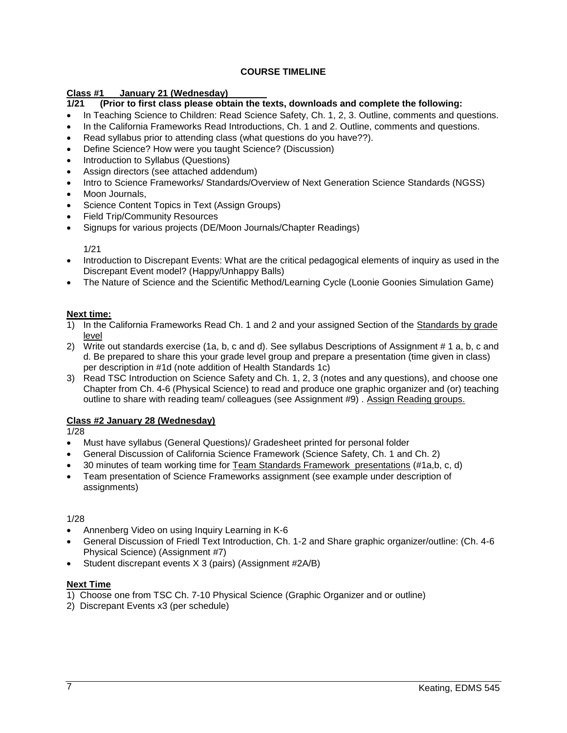# **COURSE TIMELINE**

# <span id="page-6-0"></span>**Class #1 January 21 (Wednesday)**

# **1/21 (Prior to first class please obtain the texts, downloads and complete the following:**

- In Teaching Science to Children: Read Science Safety, Ch. 1, 2, 3. Outline, comments and questions.
- In the California Frameworks Read Introductions, Ch. 1 and 2. Outline, comments and questions.
- Read syllabus prior to attending class (what questions do you have??).
- Define Science? How were you taught Science? (Discussion)
- Introduction to Syllabus (Questions)
- Assign directors (see attached addendum)
- Intro to Science Frameworks/ Standards/Overview of Next Generation Science Standards (NGSS)
- Moon Journals,
- Science Content Topics in Text (Assign Groups)
- Field Trip/Community Resources
- Signups for various projects (DE/Moon Journals/Chapter Readings)

# 1/21

- Introduction to Discrepant Events: What are the critical pedagogical elements of inquiry as used in the Discrepant Event model? (Happy/Unhappy Balls)
- The Nature of Science and the Scientific Method/Learning Cycle (Loonie Goonies Simulation Game)

### **Next time:**

- 1) In the California Frameworks Read Ch. 1 and 2 and your assigned Section of the Standards by grade level
- 2) Write out standards exercise (1a, b, c and d). See syllabus Descriptions of Assignment # 1 a, b, c and d. Be prepared to share this your grade level group and prepare a presentation (time given in class) per description in #1d (note addition of Health Standards 1c)
- 3) Read TSC Introduction on Science Safety and Ch. 1, 2, 3 (notes and any questions), and choose one Chapter from Ch. 4-6 (Physical Science) to read and produce one graphic organizer and (or) teaching outline to share with reading team/ colleagues (see Assignment #9) . Assign Reading groups.

# **Class #2 January 28 (Wednesday)**

1/28

- Must have syllabus (General Questions)/ Gradesheet printed for personal folder
- General Discussion of California Science Framework (Science Safety, Ch. 1 and Ch. 2)
- 30 minutes of team working time for Team Standards Framework presentations (#1a,b, c, d)
- Team presentation of Science Frameworks assignment (see example under description of assignments)

### 1/28

- Annenberg Video on using Inquiry Learning in K-6
- General Discussion of Friedl Text Introduction, Ch. 1-2 and Share graphic organizer/outline: (Ch. 4-6 Physical Science) (Assignment #7)
- Student discrepant events X 3 (pairs) (Assignment #2A/B)

#### **Next Time**

- 1) Choose one from TSC Ch. 7-10 Physical Science (Graphic Organizer and or outline)
- 2) Discrepant Events x3 (per schedule)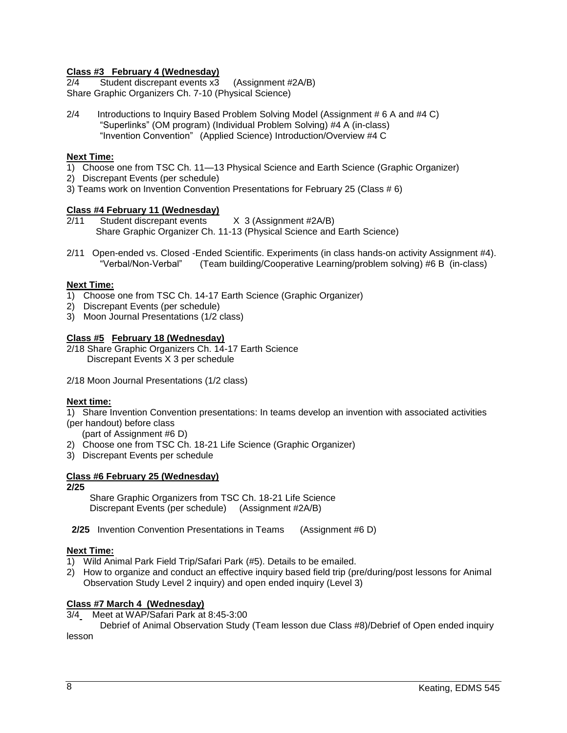# **Class #3 February 4 (Wednesday)**

2/4 Student discrepant events x3 (Assignment #2A/B) Share Graphic Organizers Ch. 7-10 (Physical Science)

2/4 Introductions to Inquiry Based Problem Solving Model (Assignment # 6 A and #4 C) "Superlinks" (OM program) (Individual Problem Solving) #4 A (in-class) "Invention Convention" (Applied Science) Introduction/Overview #4 C

#### **Next Time:**

- 1) Choose one from TSC Ch. 11—13 Physical Science and Earth Science (Graphic Organizer)
- 2) Discrepant Events (per schedule)
- 3) Teams work on Invention Convention Presentations for February 25 (Class # 6)

# **Class #4 February 11 (Wednesday)**

- Student discrepant events X 3 (Assignment #2A/B) Share Graphic Organizer Ch. 11-13 (Physical Science and Earth Science)
- 2/11 Open-ended vs. Closed -Ended Scientific. Experiments (in class hands-on activity Assignment #4). "Verbal/Non-Verbal" (Team building/Cooperative Learning/problem solving) #6 B (in-class)

### **Next Time:**

- 1) Choose one from TSC Ch. 14-17 Earth Science (Graphic Organizer)
- 2) Discrepant Events (per schedule)
- 3) Moon Journal Presentations (1/2 class)

## **Class #5 February 18 (Wednesday)**

2/18 Share Graphic Organizers Ch. 14-17 Earth Science Discrepant Events X 3 per schedule

2/18 Moon Journal Presentations (1/2 class)

#### **Next time:**

1) Share Invention Convention presentations: In teams develop an invention with associated activities (per handout) before class

(part of Assignment #6 D)

- 2) Choose one from TSC Ch. 18-21 Life Science (Graphic Organizer)
- 3) Discrepant Events per schedule

# **Class #6 February 25 (Wednesday)**

#### **2/25**

Share Graphic Organizers from TSC Ch. 18-21 Life Science Discrepant Events (per schedule) (Assignment #2A/B)

 **2/25** Invention Convention Presentations in Teams (Assignment #6 D)

# **Next Time:**

- 1) Wild Animal Park Field Trip/Safari Park (#5). Details to be emailed.
- 2) How to organize and conduct an effective inquiry based field trip (pre/during/post lessons for Animal Observation Study Level 2 inquiry) and open ended inquiry (Level 3)

# **Class #7 March 4 (Wednesday)**

3/4 Meet at WAP/Safari Park at 8:45-3:00

Debrief of Animal Observation Study (Team lesson due Class #8)/Debrief of Open ended inquiry lesson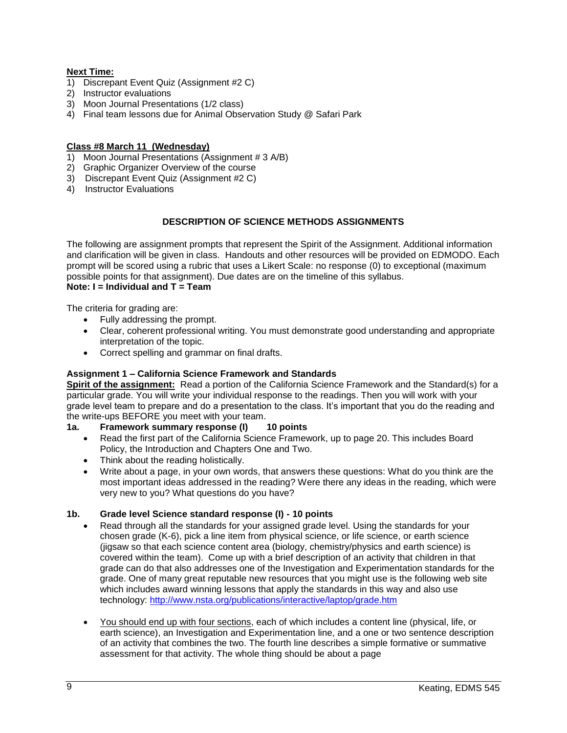# **Next Time:**

- 1) Discrepant Event Quiz (Assignment #2 C)
- 2) Instructor evaluations
- 3) Moon Journal Presentations (1/2 class)
- 4) Final team lessons due for Animal Observation Study @ Safari Park

# **Class #8 March 11 (Wednesday)**

- 1) Moon Journal Presentations (Assignment # 3 A/B)
- 2) Graphic Organizer Overview of the course
- 3) Discrepant Event Quiz (Assignment #2 C)
- 4) Instructor Evaluations

# **DESCRIPTION OF SCIENCE METHODS ASSIGNMENTS**

<span id="page-8-0"></span>The following are assignment prompts that represent the Spirit of the Assignment. Additional information and clarification will be given in class. Handouts and other resources will be provided on EDMODO. Each prompt will be scored using a rubric that uses a Likert Scale: no response (0) to exceptional (maximum possible points for that assignment). Due dates are on the timeline of this syllabus. **Note: I = Individual and T = Team**

The criteria for grading are:

- Fully addressing the prompt.
- Clear, coherent professional writing. You must demonstrate good understanding and appropriate interpretation of the topic.
- Correct spelling and grammar on final drafts.

# **Assignment 1 – California Science Framework and Standards**

**Spirit of the assignment:** Read a portion of the California Science Framework and the Standard(s) for a particular grade. You will write your individual response to the readings. Then you will work with your grade level team to prepare and do a presentation to the class. It's important that you do the reading and the write-ups BEFORE you meet with your team.

# **1a. Framework summary response (I) 10 points**

- Read the first part of the California Science Framework, up to page 20. This includes Board Policy, the Introduction and Chapters One and Two.
- Think about the reading holistically.
- Write about a page, in your own words, that answers these questions: What do you think are the most important ideas addressed in the reading? Were there any ideas in the reading, which were very new to you? What questions do you have?

# **1b. Grade level Science standard response (I) - 10 points**

- Read through all the standards for your assigned grade level. Using the standards for your chosen grade (K-6), pick a line item from physical science, or life science, or earth science (jigsaw so that each science content area (biology, chemistry/physics and earth science) is covered within the team). Come up with a brief description of an activity that children in that grade can do that also addresses one of the Investigation and Experimentation standards for the grade. One of many great reputable new resources that you might use is the following web site which includes award winning lessons that apply the standards in this way and also use technology:<http://www.nsta.org/publications/interactive/laptop/grade.htm>
- You should end up with four sections, each of which includes a content line (physical, life, or earth science), an Investigation and Experimentation line, and a one or two sentence description of an activity that combines the two. The fourth line describes a simple formative or summative assessment for that activity. The whole thing should be about a page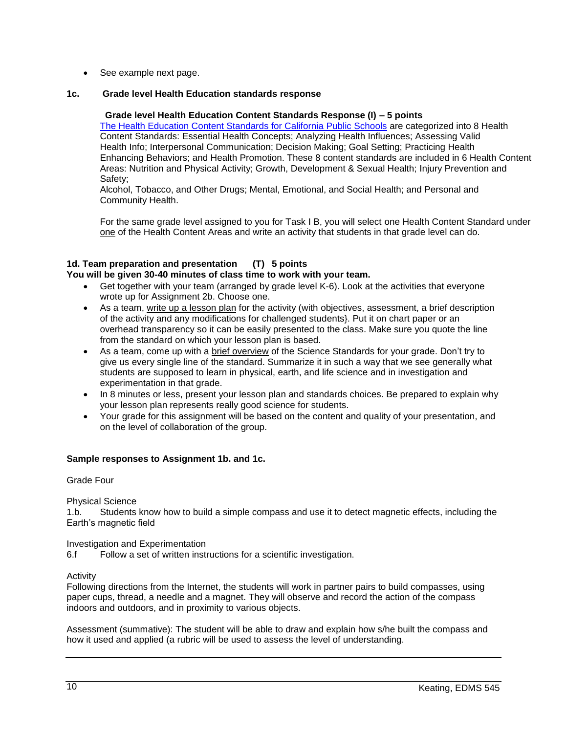• See example next page.

# **1c. Grade level Health Education standards response**

# **Grade level Health Education Content Standards Response (I) – 5 points**

[The Health Education Content Standards for California Public Schools](http://www.cde.ca.gov/be/st/ss/documents/healthstandmar08.pdf) are categorized into 8 Health Content Standards: Essential Health Concepts; Analyzing Health Influences; Assessing Valid Health Info; Interpersonal Communication; Decision Making; Goal Setting; Practicing Health Enhancing Behaviors; and Health Promotion. These 8 content standards are included in 6 Health Content Areas: Nutrition and Physical Activity; Growth, Development & Sexual Health; Injury Prevention and Safety;

Alcohol, Tobacco, and Other Drugs; Mental, Emotional, and Social Health; and Personal and Community Health.

For the same grade level assigned to you for Task I B, you will select one Health Content Standard under one of the Health Content Areas and write an activity that students in that grade level can do.

#### **1d. Team preparation and presentation (T) 5 points You will be given 30-40 minutes of class time to work with your team.**

- Get together with your team (arranged by grade level K-6). Look at the activities that everyone wrote up for Assignment 2b. Choose one.
- As a team, write up a lesson plan for the activity (with objectives, assessment, a brief description of the activity and any modifications for challenged students}. Put it on chart paper or an overhead transparency so it can be easily presented to the class. Make sure you quote the line from the standard on which your lesson plan is based.
- As a team, come up with a brief overview of the Science Standards for your grade. Don't try to give us every single line of the standard. Summarize it in such a way that we see generally what students are supposed to learn in physical, earth, and life science and in investigation and experimentation in that grade.
- In 8 minutes or less, present your lesson plan and standards choices. Be prepared to explain why your lesson plan represents really good science for students.
- Your grade for this assignment will be based on the content and quality of your presentation, and on the level of collaboration of the group.

# **Sample responses to Assignment 1b. and 1c.**

# Grade Four

# Physical Science

1.b. Students know how to build a simple compass and use it to detect magnetic effects, including the Earth's magnetic field

# Investigation and Experimentation

6.f Follow a set of written instructions for a scientific investigation.

# Activity

Following directions from the Internet, the students will work in partner pairs to build compasses, using paper cups, thread, a needle and a magnet. They will observe and record the action of the compass indoors and outdoors, and in proximity to various objects.

Assessment (summative): The student will be able to draw and explain how s/he built the compass and how it used and applied (a rubric will be used to assess the level of understanding.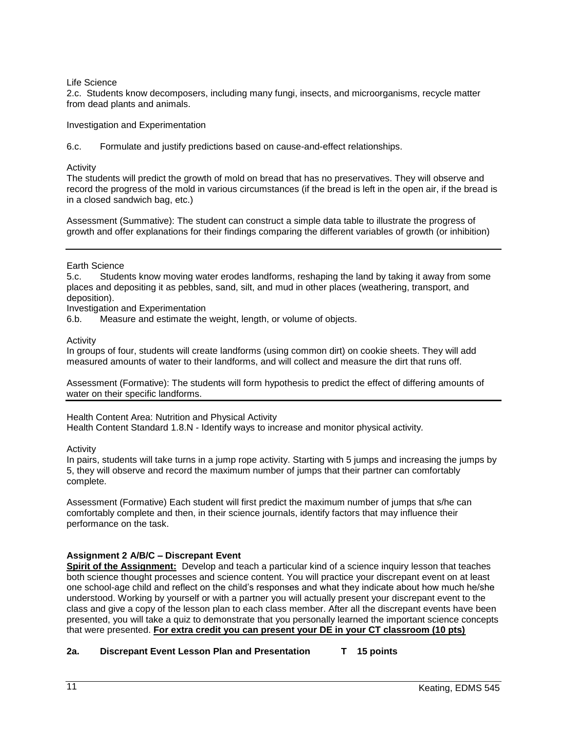Life Science

2.c. Students know decomposers, including many fungi, insects, and microorganisms, recycle matter from dead plants and animals.

Investigation and Experimentation

6.c. Formulate and justify predictions based on cause-and-effect relationships.

#### Activity

The students will predict the growth of mold on bread that has no preservatives. They will observe and record the progress of the mold in various circumstances (if the bread is left in the open air, if the bread is in a closed sandwich bag, etc.)

Assessment (Summative): The student can construct a simple data table to illustrate the progress of growth and offer explanations for their findings comparing the different variables of growth (or inhibition)

### Earth Science

5.c. Students know moving water erodes landforms, reshaping the land by taking it away from some places and depositing it as pebbles, sand, silt, and mud in other places (weathering, transport, and deposition).

Investigation and Experimentation

6.b. Measure and estimate the weight, length, or volume of objects.

Activity

In groups of four, students will create landforms (using common dirt) on cookie sheets. They will add measured amounts of water to their landforms, and will collect and measure the dirt that runs off.

Assessment (Formative): The students will form hypothesis to predict the effect of differing amounts of water on their specific landforms.

Health Content Area: Nutrition and Physical Activity Health Content Standard 1.8.N - Identify ways to increase and monitor physical activity*.*

Activity

In pairs, students will take turns in a jump rope activity. Starting with 5 jumps and increasing the jumps by 5, they will observe and record the maximum number of jumps that their partner can comfortably complete.

Assessment (Formative) Each student will first predict the maximum number of jumps that s/he can comfortably complete and then, in their science journals, identify factors that may influence their performance on the task.

# **Assignment 2 A/B/C – Discrepant Event**

**Spirit of the Assignment:** Develop and teach a particular kind of a science inquiry lesson that teaches both science thought processes and science content. You will practice your discrepant event on at least one school-age child and reflect on the child's responses and what they indicate about how much he/she understood. Working by yourself or with a partner you will actually present your discrepant event to the class and give a copy of the lesson plan to each class member. After all the discrepant events have been presented, you will take a quiz to demonstrate that you personally learned the important science concepts that were presented. **For extra credit you can present your DE in your CT classroom (10 pts)**

# **2a. Discrepant Event Lesson Plan and Presentation T 15 points**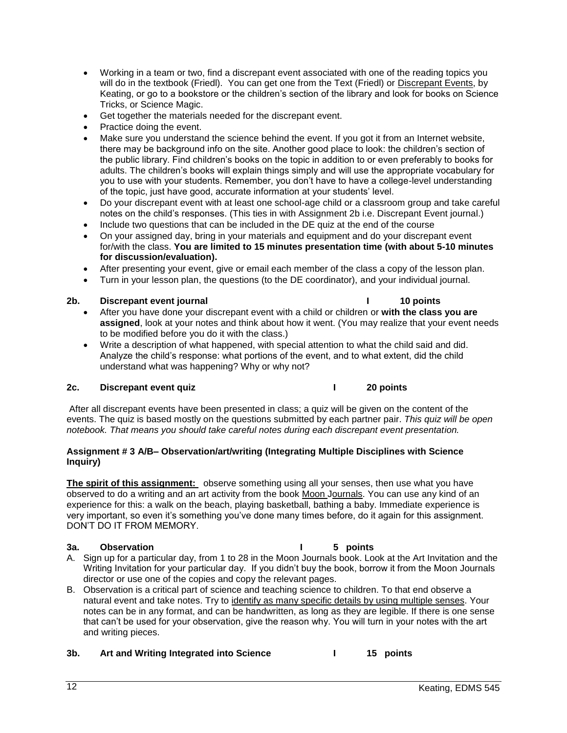- Working in a team or two, find a discrepant event associated with one of the reading topics you will do in the textbook (Friedl). You can get one from the Text (Friedl) or Discrepant Events, by Keating, or go to a bookstore or the children's section of the library and look for books on Science Tricks, or Science Magic.
- Get together the materials needed for the discrepant event.
- Practice doing the event.
- Make sure you understand the science behind the event. If you got it from an Internet website, there may be background info on the site. Another good place to look: the children's section of the public library. Find children's books on the topic in addition to or even preferably to books for adults. The children's books will explain things simply and will use the appropriate vocabulary for you to use with your students. Remember, you don't have to have a college-level understanding of the topic, just have good, accurate information at your students' level.
- Do your discrepant event with at least one school-age child or a classroom group and take careful notes on the child's responses. (This ties in with Assignment 2b i.e. Discrepant Event journal.)
- Include two questions that can be included in the DE quiz at the end of the course
- On your assigned day, bring in your materials and equipment and do your discrepant event for/with the class. **You are limited to 15 minutes presentation time (with about 5-10 minutes for discussion/evaluation).**
- After presenting your event, give or email each member of the class a copy of the lesson plan.
- Turn in your lesson plan, the questions (to the DE coordinator), and your individual journal.

### **2b. Discrepant event journal I 10 points**

- After you have done your discrepant event with a child or children or **with the class you are assigned**, look at your notes and think about how it went. (You may realize that your event needs to be modified before you do it with the class.)
- Write a description of what happened, with special attention to what the child said and did. Analyze the child's response: what portions of the event, and to what extent, did the child understand what was happening? Why or why not?

# **2c. Discrepant event quiz I 20 points**

After all discrepant events have been presented in class; a quiz will be given on the content of the events. The quiz is based mostly on the questions submitted by each partner pair. *This quiz will be open notebook. That means you should take careful notes during each discrepant event presentation.*

### **Assignment # 3 A/B– Observation/art/writing (Integrating Multiple Disciplines with Science Inquiry)**

**The spirit of this assignment:** observe something using all your senses, then use what you have observed to do a writing and an art activity from the book Moon Journals. You can use any kind of an experience for this: a walk on the beach, playing basketball, bathing a baby. Immediate experience is very important, so even it's something you've done many times before, do it again for this assignment. DON'T DO IT FROM MEMORY.

#### **3a. Observation I 5 points**

- A. Sign up for a particular day, from 1 to 28 in the Moon Journals book. Look at the Art Invitation and the Writing Invitation for your particular day. If you didn't buy the book, borrow it from the Moon Journals director or use one of the copies and copy the relevant pages.
- B. Observation is a critical part of science and teaching science to children. To that end observe a natural event and take notes. Try to identify as many specific details by using multiple senses. Your notes can be in any format, and can be handwritten, as long as they are legible. If there is one sense that can't be used for your observation, give the reason why. You will turn in your notes with the art and writing pieces.

# **3b. Art and Writing Integrated into Science I 15 points**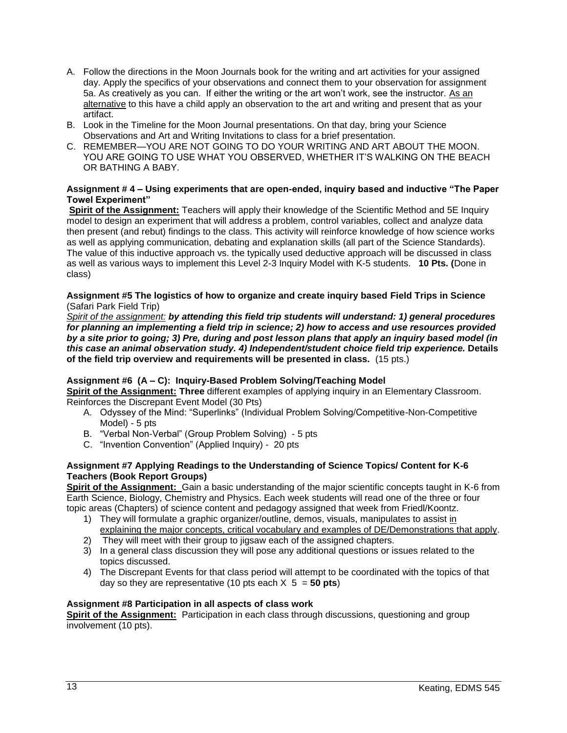- A. Follow the directions in the Moon Journals book for the writing and art activities for your assigned day. Apply the specifics of your observations and connect them to your observation for assignment 5a. As creatively as you can. If either the writing or the art won't work, see the instructor. As an alternative to this have a child apply an observation to the art and writing and present that as your artifact.
- B. Look in the Timeline for the Moon Journal presentations. On that day, bring your Science Observations and Art and Writing Invitations to class for a brief presentation.
- C. REMEMBER—YOU ARE NOT GOING TO DO YOUR WRITING AND ART ABOUT THE MOON. YOU ARE GOING TO USE WHAT YOU OBSERVED, WHETHER IT'S WALKING ON THE BEACH OR BATHING A BABY.

## **Assignment # 4 – Using experiments that are open-ended, inquiry based and inductive "The Paper Towel Experiment"**

**Spirit of the Assignment:** Teachers will apply their knowledge of the Scientific Method and 5E Inquiry model to design an experiment that will address a problem, control variables, collect and analyze data then present (and rebut) findings to the class. This activity will reinforce knowledge of how science works as well as applying communication, debating and explanation skills (all part of the Science Standards). The value of this inductive approach vs. the typically used deductive approach will be discussed in class as well as various ways to implement this Level 2-3 Inquiry Model with K-5 students. **10 Pts. (**Done in class)

### **Assignment #5 The logistics of how to organize and create inquiry based Field Trips in Science** (Safari Park Field Trip)

*Spirit of the assignment: by attending this field trip students will understand: 1) general procedures for planning an implementing a field trip in science; 2) how to access and use resources provided by a site prior to going; 3) Pre, during and post lesson plans that apply an inquiry based model (in this case an animal observation study. 4) Independent/student choice field trip experience.* **Details of the field trip overview and requirements will be presented in class.** (15 pts.)

# **Assignment #6 (A – C): Inquiry-Based Problem Solving/Teaching Model**

**Spirit of the Assignment: Three** different examples of applying inquiry in an Elementary Classroom. Reinforces the Discrepant Event Model (30 Pts)

- A. Odyssey of the Mind: "Superlinks" (Individual Problem Solving/Competitive-Non-Competitive Model) - 5 pts
- B. "Verbal Non-Verbal" (Group Problem Solving) 5 pts
- C. "Invention Convention" (Applied Inquiry) 20 pts

# **Assignment #7 Applying Readings to the Understanding of Science Topics/ Content for K-6 Teachers (Book Report Groups)**

**Spirit of the Assignment:** Gain a basic understanding of the major scientific concepts taught in K-6 from Earth Science, Biology, Chemistry and Physics. Each week students will read one of the three or four topic areas (Chapters) of science content and pedagogy assigned that week from Friedl/Koontz.

- 1) They will formulate a graphic organizer/outline, demos, visuals, manipulates to assist in explaining the major concepts, critical vocabulary and examples of DE/Demonstrations that apply.
- 2) They will meet with their group to jigsaw each of the assigned chapters.
- 3) In a general class discussion they will pose any additional questions or issues related to the topics discussed.
- 4) The Discrepant Events for that class period will attempt to be coordinated with the topics of that day so they are representative (10 pts each  $X$  5 = 50 pts)

# **Assignment #8 Participation in all aspects of class work**

**Spirit of the Assignment:** Participation in each class through discussions, questioning and group involvement (10 pts).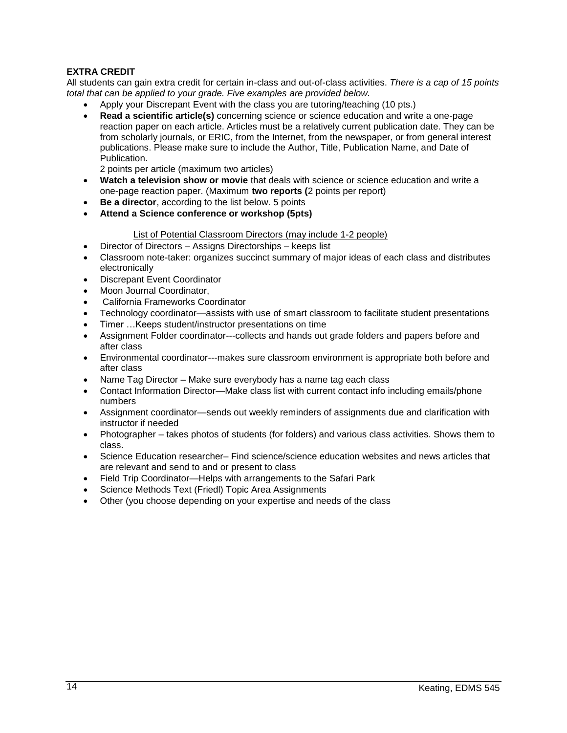# **EXTRA CREDIT**

All students can gain extra credit for certain in-class and out-of-class activities. *There is a cap of 15 points total that can be applied to your grade. Five examples are provided below.*

- Apply your Discrepant Event with the class you are tutoring/teaching (10 pts.)
- **Read a scientific article(s)** concerning science or science education and write a one-page reaction paper on each article. Articles must be a relatively current publication date. They can be from scholarly journals, or ERIC, from the Internet, from the newspaper, or from general interest publications. Please make sure to include the Author, Title, Publication Name, and Date of Publication.
	- 2 points per article (maximum two articles)
- **Watch a television show or movie** that deals with science or science education and write a one-page reaction paper. (Maximum **two reports (**2 points per report)
- **Be a director**, according to the list below. 5 points
- **Attend a Science conference or workshop (5pts)**

### List of Potential Classroom Directors (may include 1-2 people)

- Director of Directors Assigns Directorships keeps list
- Classroom note-taker: organizes succinct summary of major ideas of each class and distributes electronically
- Discrepant Event Coordinator
- Moon Journal Coordinator,
- California Frameworks Coordinator
- Technology coordinator—assists with use of smart classroom to facilitate student presentations
- Timer …Keeps student/instructor presentations on time
- Assignment Folder coordinator---collects and hands out grade folders and papers before and after class
- Environmental coordinator---makes sure classroom environment is appropriate both before and after class
- Name Tag Director Make sure everybody has a name tag each class
- Contact Information Director—Make class list with current contact info including emails/phone numbers
- Assignment coordinator—sends out weekly reminders of assignments due and clarification with instructor if needed
- Photographer takes photos of students (for folders) and various class activities. Shows them to class.
- Science Education researcher– Find science/science education websites and news articles that are relevant and send to and or present to class
- Field Trip Coordinator—Helps with arrangements to the Safari Park
- Science Methods Text (Friedl) Topic Area Assignments
- Other (you choose depending on your expertise and needs of the class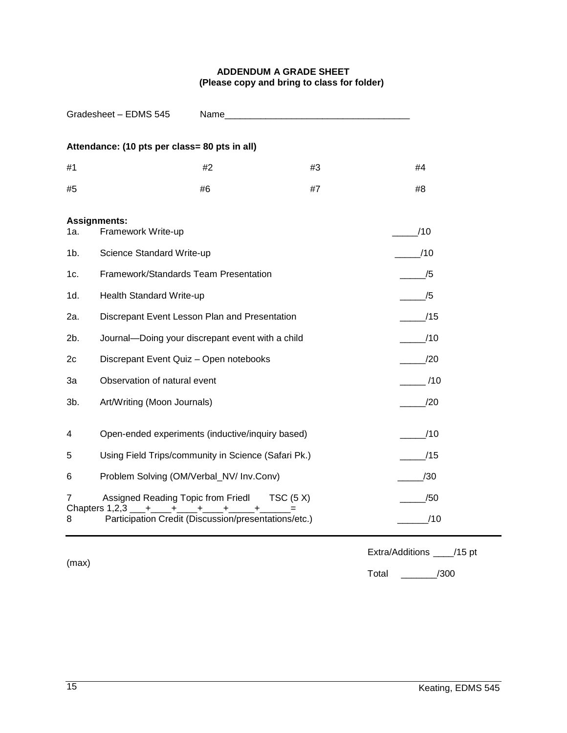# **ADDENDUM A GRADE SHEET (Please copy and bring to class for folder)**

<span id="page-14-0"></span>

| Gradesheet - EDMS 545                                                                                                                                                                      |                                                         | Name and the contract of the contract of the contract of the contract of the contract of the contract of the contract of the contract of the contract of the contract of the contract of the contract of the contract of the c |    |     |  |  |  |
|--------------------------------------------------------------------------------------------------------------------------------------------------------------------------------------------|---------------------------------------------------------|--------------------------------------------------------------------------------------------------------------------------------------------------------------------------------------------------------------------------------|----|-----|--|--|--|
| Attendance: (10 pts per class= 80 pts in all)                                                                                                                                              |                                                         |                                                                                                                                                                                                                                |    |     |  |  |  |
| #1                                                                                                                                                                                         |                                                         | #2                                                                                                                                                                                                                             | #3 | #4  |  |  |  |
| #5                                                                                                                                                                                         |                                                         | #6                                                                                                                                                                                                                             | #7 | #8  |  |  |  |
| <b>Assignments:</b><br>Framework Write-up<br>/10<br>1a.                                                                                                                                    |                                                         |                                                                                                                                                                                                                                |    |     |  |  |  |
| $1b$ .                                                                                                                                                                                     | Science Standard Write-up<br>/10                        |                                                                                                                                                                                                                                |    |     |  |  |  |
| 1c.                                                                                                                                                                                        | Framework/Standards Team Presentation<br>/5             |                                                                                                                                                                                                                                |    |     |  |  |  |
| 1d.                                                                                                                                                                                        | Health Standard Write-up                                |                                                                                                                                                                                                                                |    |     |  |  |  |
| 2a.                                                                                                                                                                                        | Discrepant Event Lesson Plan and Presentation<br>/15    |                                                                                                                                                                                                                                |    |     |  |  |  |
| 2b.                                                                                                                                                                                        | Journal-Doing your discrepant event with a child<br>/10 |                                                                                                                                                                                                                                |    |     |  |  |  |
| 2c                                                                                                                                                                                         | Discrepant Event Quiz - Open notebooks<br>/20           |                                                                                                                                                                                                                                |    |     |  |  |  |
| 3a                                                                                                                                                                                         | Observation of natural event                            |                                                                                                                                                                                                                                |    |     |  |  |  |
| $3b$ .                                                                                                                                                                                     | Art/Writing (Moon Journals)                             |                                                                                                                                                                                                                                |    | /20 |  |  |  |
| 4                                                                                                                                                                                          | Open-ended experiments (inductive/inquiry based)        |                                                                                                                                                                                                                                |    | /10 |  |  |  |
| 5                                                                                                                                                                                          | Using Field Trips/community in Science (Safari Pk.)     |                                                                                                                                                                                                                                |    | /15 |  |  |  |
| 6                                                                                                                                                                                          | Problem Solving (OM/Verbal_NV/ Inv.Conv)                |                                                                                                                                                                                                                                |    | /30 |  |  |  |
| Assigned Reading Topic from Friedl<br>7<br>TSC $(5 X)$<br>/50<br>Chapters 1,2,3<br>$+$<br>$-$ + $-$ + $-$ + $-$<br>$+$<br>Participation Credit (Discussion/presentations/etc.)<br>/10<br>8 |                                                         |                                                                                                                                                                                                                                |    |     |  |  |  |

(max)

Extra/Additions \_\_\_\_/15 pt

Total \_\_\_\_\_\_\_/300